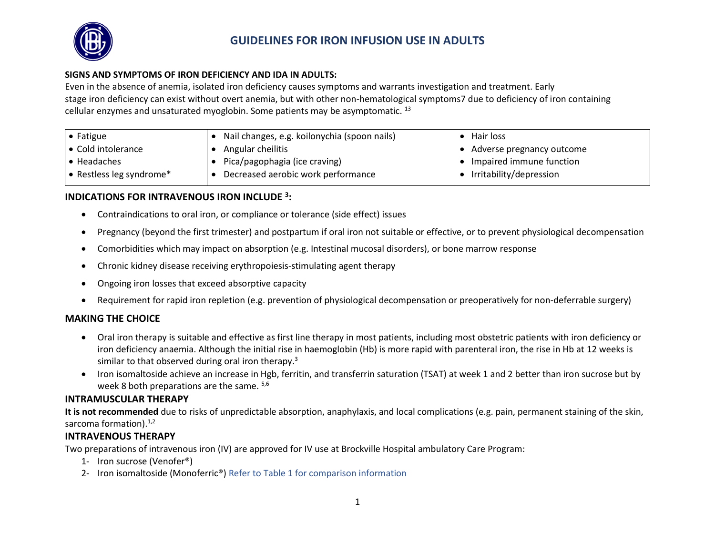

### **GUIDELINES FOR IRON INFUSION USE IN ADULTS**

#### **SIGNS AND SYMPTOMS OF IRON DEFICIENCY AND IDA IN ADULTS:**

Even in the absence of anemia, isolated iron deficiency causes symptoms and warrants investigation and treatment. Early stage iron deficiency can exist without overt anemia, but with other non-hematological symptoms7 due to deficiency of iron containing cellular enzymes and unsaturated myoglobin. Some patients may be asymptomatic.<sup>13</sup>

| $\bullet$ Fatigue                | Nail changes, e.g. koilonychia (spoon nails) | Hair loss                 |
|----------------------------------|----------------------------------------------|---------------------------|
| ● Cold intolerance               | Angular cheilitis                            | Adverse pregnancy outcome |
| ∣ • Headaches                    | Pica/pagophagia (ice craving)                | Impaired immune function  |
| $\bullet$ Restless leg syndrome* | Decreased aerobic work performance           | Irritability/depression   |

#### **INDICATIONS FOR INTRAVENOUS IRON INCLUDE <sup>3</sup> :**

- Contraindications to oral iron, or compliance or tolerance (side effect) issues
- Pregnancy (beyond the first trimester) and postpartum if oral iron not suitable or effective, or to prevent physiological decompensation
- Comorbidities which may impact on absorption (e.g. Intestinal mucosal disorders), or bone marrow response
- Chronic kidney disease receiving erythropoiesis-stimulating agent therapy
- Ongoing iron losses that exceed absorptive capacity
- Requirement for rapid iron repletion (e.g. prevention of physiological decompensation or preoperatively for non-deferrable surgery)

#### **MAKING THE CHOICE**

- Oral iron therapy is suitable and effective as first line therapy in most patients, including most obstetric patients with iron deficiency or iron deficiency anaemia. Although the initial rise in haemoglobin (Hb) is more rapid with parenteral iron, the rise in Hb at 12 weeks is similar to that observed during oral iron therapy.<sup>3</sup>
- Iron isomaltoside achieve an increase in Hgb, ferritin, and transferrin saturation (TSAT) at week 1 and 2 better than iron sucrose but by week 8 both preparations are the same.  $5,6$

#### **INTRAMUSCULAR THERAPY**

**It is not recommended** due to risks of unpredictable absorption, anaphylaxis, and local complications (e.g. pain, permanent staining of the skin, sarcoma formation).<sup>1,2</sup>

#### **INTRAVENOUS THERAPY**

Two preparations of intravenous iron (IV) are approved for IV use at Brockville Hospital ambulatory Care Program:

- 1- Iron sucrose (Venofer®)
- 2- Iron isomaltoside (Monoferric®) Refer to Table 1 for comparison information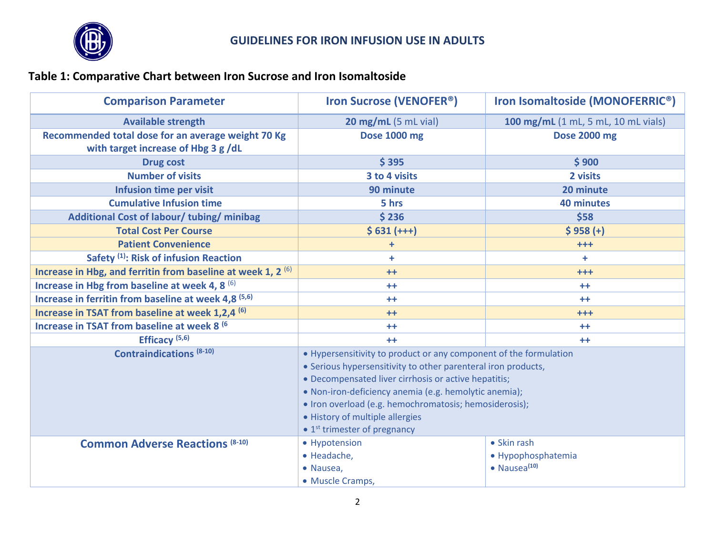

# **Table 1: Comparative Chart between Iron Sucrose and Iron Isomaltoside**

| <b>Available strength</b><br>Recommended total dose for an average weight 70 Kg<br>with target increase of Hbg 3 g/dL<br><b>Drug cost</b><br><b>Number of visits</b><br>Infusion time per visit<br><b>Cumulative Infusion time</b><br>Additional Cost of labour/tubing/minibag<br><b>Total Cost Per Course</b><br><b>Patient Convenience</b><br>Safety <sup>(1)</sup> : Risk of infusion Reaction<br>Increase in Hbg, and ferritin from baseline at week 1, 2 $(6)$<br>Increase in Hbg from baseline at week 4, 8 (6)<br>Increase in ferritin from baseline at week 4,8 (5,6)<br>Increase in TSAT from baseline at week 1,2,4 (6)<br>Increase in TSAT from baseline at week 8 (6) | 20 mg/mL (5 mL vial)<br>Dose 1000 mg<br>\$395<br>3 to 4 visits<br>90 minute<br>5 hrs<br>\$236                                                                                                                                                                                                                 | 100 mg/mL (1 mL, 5 mL, 10 mL vials)<br><b>Dose 2000 mg</b><br>\$900<br>2 visits<br>20 minute<br><b>40 minutes</b> |  |
|-----------------------------------------------------------------------------------------------------------------------------------------------------------------------------------------------------------------------------------------------------------------------------------------------------------------------------------------------------------------------------------------------------------------------------------------------------------------------------------------------------------------------------------------------------------------------------------------------------------------------------------------------------------------------------------|---------------------------------------------------------------------------------------------------------------------------------------------------------------------------------------------------------------------------------------------------------------------------------------------------------------|-------------------------------------------------------------------------------------------------------------------|--|
|                                                                                                                                                                                                                                                                                                                                                                                                                                                                                                                                                                                                                                                                                   |                                                                                                                                                                                                                                                                                                               |                                                                                                                   |  |
|                                                                                                                                                                                                                                                                                                                                                                                                                                                                                                                                                                                                                                                                                   |                                                                                                                                                                                                                                                                                                               |                                                                                                                   |  |
|                                                                                                                                                                                                                                                                                                                                                                                                                                                                                                                                                                                                                                                                                   |                                                                                                                                                                                                                                                                                                               |                                                                                                                   |  |
|                                                                                                                                                                                                                                                                                                                                                                                                                                                                                                                                                                                                                                                                                   |                                                                                                                                                                                                                                                                                                               |                                                                                                                   |  |
|                                                                                                                                                                                                                                                                                                                                                                                                                                                                                                                                                                                                                                                                                   |                                                                                                                                                                                                                                                                                                               |                                                                                                                   |  |
|                                                                                                                                                                                                                                                                                                                                                                                                                                                                                                                                                                                                                                                                                   |                                                                                                                                                                                                                                                                                                               |                                                                                                                   |  |
|                                                                                                                                                                                                                                                                                                                                                                                                                                                                                                                                                                                                                                                                                   |                                                                                                                                                                                                                                                                                                               | \$58                                                                                                              |  |
|                                                                                                                                                                                                                                                                                                                                                                                                                                                                                                                                                                                                                                                                                   | $$631 (+++)$                                                                                                                                                                                                                                                                                                  | $$958(+)$                                                                                                         |  |
|                                                                                                                                                                                                                                                                                                                                                                                                                                                                                                                                                                                                                                                                                   | $\ddot{}$                                                                                                                                                                                                                                                                                                     | $+ + +$                                                                                                           |  |
|                                                                                                                                                                                                                                                                                                                                                                                                                                                                                                                                                                                                                                                                                   | ÷                                                                                                                                                                                                                                                                                                             | ÷                                                                                                                 |  |
|                                                                                                                                                                                                                                                                                                                                                                                                                                                                                                                                                                                                                                                                                   | $++$                                                                                                                                                                                                                                                                                                          | $+ + +$                                                                                                           |  |
|                                                                                                                                                                                                                                                                                                                                                                                                                                                                                                                                                                                                                                                                                   | $++$                                                                                                                                                                                                                                                                                                          | $++$                                                                                                              |  |
|                                                                                                                                                                                                                                                                                                                                                                                                                                                                                                                                                                                                                                                                                   | $++$                                                                                                                                                                                                                                                                                                          | $++$                                                                                                              |  |
|                                                                                                                                                                                                                                                                                                                                                                                                                                                                                                                                                                                                                                                                                   | $++$                                                                                                                                                                                                                                                                                                          | $++$                                                                                                              |  |
|                                                                                                                                                                                                                                                                                                                                                                                                                                                                                                                                                                                                                                                                                   | $++$                                                                                                                                                                                                                                                                                                          | $++$                                                                                                              |  |
| Efficacy <sup>(5,6)</sup>                                                                                                                                                                                                                                                                                                                                                                                                                                                                                                                                                                                                                                                         | $++$                                                                                                                                                                                                                                                                                                          | $++$                                                                                                              |  |
| <b>Contraindications (8-10)</b><br>• History of multiple allergies                                                                                                                                                                                                                                                                                                                                                                                                                                                                                                                                                                                                                | • Hypersensitivity to product or any component of the formulation<br>• Serious hypersensitivity to other parenteral iron products,<br>• Decompensated liver cirrhosis or active hepatitis;<br>• Non-iron-deficiency anemia (e.g. hemolytic anemia);<br>• Iron overload (e.g. hemochromatosis; hemosiderosis); |                                                                                                                   |  |
|                                                                                                                                                                                                                                                                                                                                                                                                                                                                                                                                                                                                                                                                                   | $\bullet$ 1 <sup>st</sup> trimester of pregnancy                                                                                                                                                                                                                                                              |                                                                                                                   |  |
| • Hypotension<br><b>Common Adverse Reactions (8-10)</b><br>· Headache,<br>• Nausea,<br>• Muscle Cramps,                                                                                                                                                                                                                                                                                                                                                                                                                                                                                                                                                                           |                                                                                                                                                                                                                                                                                                               | • Skin rash<br>· Hypophosphatemia<br>$\bullet$ Nausea $^{(10)}$                                                   |  |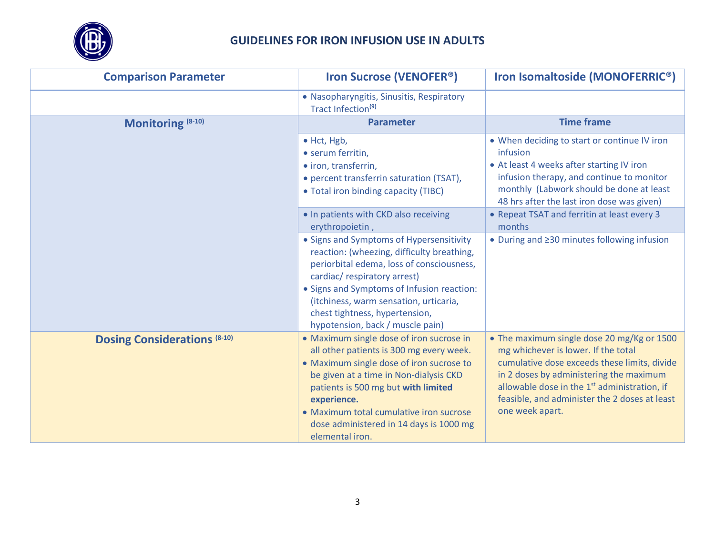

| <b>Comparison Parameter</b>         | <b>Iron Sucrose (VENOFER<sup>®</sup>)</b>                                                                                                                                                                                                                                                                                                 | Iron Isomaltoside (MONOFERRIC <sup>®</sup> )                                                                                                                                                                                                                                                                 |  |
|-------------------------------------|-------------------------------------------------------------------------------------------------------------------------------------------------------------------------------------------------------------------------------------------------------------------------------------------------------------------------------------------|--------------------------------------------------------------------------------------------------------------------------------------------------------------------------------------------------------------------------------------------------------------------------------------------------------------|--|
|                                     | • Nasopharyngitis, Sinusitis, Respiratory<br>Tract Infection <sup>(9)</sup>                                                                                                                                                                                                                                                               |                                                                                                                                                                                                                                                                                                              |  |
| Monitoring (8-10)                   | <b>Parameter</b>                                                                                                                                                                                                                                                                                                                          | <b>Time frame</b>                                                                                                                                                                                                                                                                                            |  |
|                                     | $\bullet$ Hct, Hgb,<br>• serum ferritin,<br>• iron, transferrin,<br>• percent transferrin saturation (TSAT),<br>• Total iron binding capacity (TIBC)                                                                                                                                                                                      | • When deciding to start or continue IV iron<br>infusion<br>• At least 4 weeks after starting IV iron<br>infusion therapy, and continue to monitor<br>monthly (Labwork should be done at least<br>48 hrs after the last iron dose was given)                                                                 |  |
|                                     | . In patients with CKD also receiving<br>erythropoietin,                                                                                                                                                                                                                                                                                  | • Repeat TSAT and ferritin at least every 3<br>months                                                                                                                                                                                                                                                        |  |
|                                     | • Signs and Symptoms of Hypersensitivity<br>reaction: (wheezing, difficulty breathing,<br>periorbital edema, loss of consciousness,<br>cardiac/respiratory arrest)<br>• Signs and Symptoms of Infusion reaction:<br>(itchiness, warm sensation, urticaria,<br>chest tightness, hypertension,<br>hypotension, back / muscle pain)          | • During and 230 minutes following infusion                                                                                                                                                                                                                                                                  |  |
| <b>Dosing Considerations (8-10)</b> | • Maximum single dose of iron sucrose in<br>all other patients is 300 mg every week.<br>• Maximum single dose of iron sucrose to<br>be given at a time in Non-dialysis CKD<br>patients is 500 mg but with limited<br>experience.<br>• Maximum total cumulative iron sucrose<br>dose administered in 14 days is 1000 mg<br>elemental iron. | • The maximum single dose 20 mg/Kg or 1500<br>mg whichever is lower. If the total<br>cumulative dose exceeds these limits, divide<br>in 2 doses by administering the maximum<br>allowable dose in the 1 <sup>st</sup> administration, if<br>feasible, and administer the 2 doses at least<br>one week apart. |  |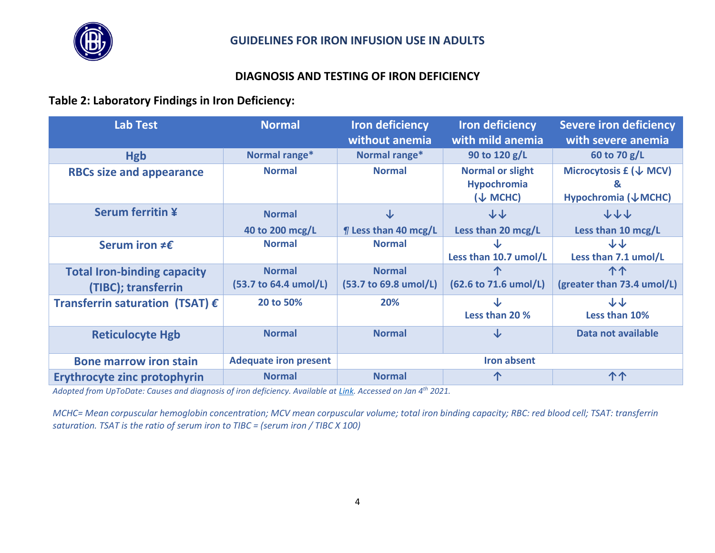

### **DIAGNOSIS AND TESTING OF IRON DEFICIENCY**

#### **Table 2: Laboratory Findings in Iron Deficiency:**

| <b>Lab Test</b>                                           | <b>Normal</b>                          | <b>Iron deficiency</b><br>without anemia | <b>Iron deficiency</b><br>with mild anemia                           | <b>Severe iron deficiency</b><br>with severe anemia     |
|-----------------------------------------------------------|----------------------------------------|------------------------------------------|----------------------------------------------------------------------|---------------------------------------------------------|
| <b>Hgb</b>                                                | Normal range*                          | Normal range*                            | 90 to 120 g/L                                                        | 60 to 70 g/L                                            |
| <b>RBCs size and appearance</b>                           | <b>Normal</b>                          | <b>Normal</b>                            | <b>Normal or slight</b><br><b>Hypochromia</b><br>$(\downarrow$ MCHC) | Microcytosis $f(\downarrow MCV)$<br>Hypochromia (↓MCHC) |
| <b>Serum ferritin ¥</b>                                   | <b>Normal</b><br>40 to 200 mcg/L       | ↓<br>$\P$ Less than 40 mcg/L             | 小小<br>Less than 20 mcg/L                                             | 小小小<br>Less than 10 mcg/L                               |
| Serum iron $\neq \epsilon$                                | <b>Normal</b>                          | <b>Normal</b>                            | Less than 10.7 umol/L                                                | する<br>Less than 7.1 umol/L                              |
| <b>Total Iron-binding capacity</b><br>(TIBC); transferrin | <b>Normal</b><br>(53.7 to 64.4 umol/L) | <b>Normal</b><br>(53.7 to 69.8 umol/L)   | (62.6 to 71.6 umol/L)                                                | 个个<br>(greater than 73.4 umol/L)                        |
| Transferrin saturation (TSAT) $\epsilon$                  | 20 to 50%                              | 20%                                      | Less than 20 %                                                       | ふふ<br>Less than 10%                                     |
| <b>Reticulocyte Hgb</b>                                   | <b>Normal</b>                          | <b>Normal</b>                            | J                                                                    | Data not available                                      |
| <b>Bone marrow iron stain</b>                             | <b>Adequate iron present</b>           |                                          | <b>Iron absent</b>                                                   |                                                         |
| Erythrocyte zinc protophyrin                              | <b>Normal</b>                          | <b>Normal</b>                            |                                                                      | 个个                                                      |

*Adopted from UpToDate: Causes and diagnosis of iron deficiency. Available at [Link.](https://www.uptodate.com/contents/causes-and-diagnosis-of-iron-deficiency-and-iron-deficiency-anemia-in-adults?search=iron%20deficiency%20anemia&source=search_result&selectedTitle=1~150&usage_type=default&display_rank=1#H26) Accessed on Jan 4th 2021.*

*MCHC= Mean corpuscular hemoglobin concentration; MCV mean corpuscular volume; total iron binding capacity; RBC: red blood cell; TSAT: transferrin saturation. TSAT is the ratio of serum iron to TIBC = (serum iron / TIBC X 100)*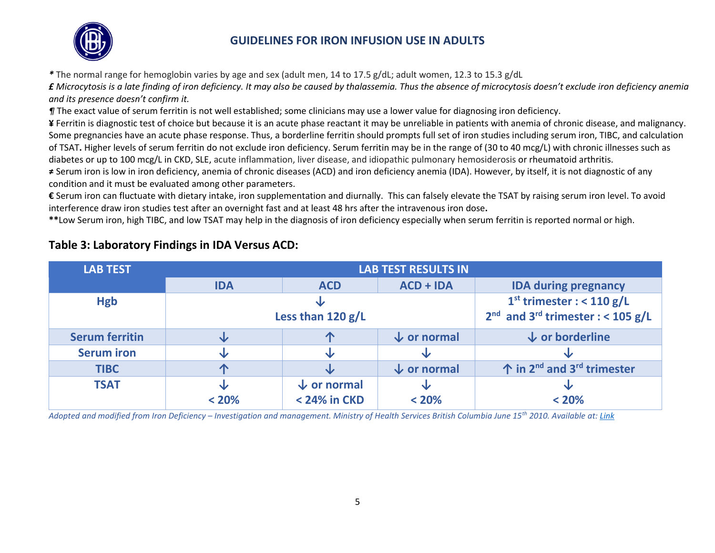

### **GUIDELINES FOR IRON INFUSION USE IN ADULTS**

*\** The normal range for hemoglobin varies by age and sex (adult men, 14 to 17.5 g/dL; adult women, 12.3 to 15.3 g/dL

*£ Microcytosis is a late finding of iron deficiency. It may also be caused by thalassemia. Thus the absence of microcytosis doesn't exclude iron deficiency anemia and its presence doesn't confirm it.*

*¶* The exact value of serum ferritin is not well established; some clinicians may use a lower value for diagnosing iron deficiency.

**¥** Ferritin is diagnostic test of choice but because it is an acute phase reactant it may be unreliable in patients with anemia of chronic disease, and malignancy. Some pregnancies have an acute phase response. Thus, a borderline ferritin should prompts full set of iron studies including serum iron, TIBC, and calculation of TSAT**.** Higher levels of serum ferritin do not exclude iron deficiency. Serum ferritin may be in the range of (30 to 40 mcg/L) with chronic illnesses such as diabetes or up to 100 mcg/L in CKD, SLE, acute inflammation, liver disease, and idiopathic pulmonary hemosiderosis or rheumatoid arthritis.

**≠** Serum iron is low in iron deficiency, anemia of chronic diseases (ACD) and iron deficiency anemia (IDA). However, by itself, it is not diagnostic of any condition and it must be evaluated among other parameters.

**€** Serum iron can fluctuate with dietary intake, iron supplementation and diurnally. This can falsely elevate the TSAT by raising serum iron level. To avoid interference draw iron studies test after an overnight fast and at least 48 hrs after the intravenous iron dose**.**

**\*\***Low Serum iron, high TIBC, and low TSAT may help in the diagnosis of iron deficiency especially when serum ferritin is reported normal or high.

| <b>LAB TEST</b>       | <b>LAB TEST RESULTS IN</b> |                        |                                                 |                                                            |  |
|-----------------------|----------------------------|------------------------|-------------------------------------------------|------------------------------------------------------------|--|
|                       | <b>IDA</b>                 | <b>ACD</b>             | $ACD + IDA$                                     | <b>IDA during pregnancy</b>                                |  |
| <b>Hgb</b>            |                            |                        | $1st$ trimester : < 110 g/L                     |                                                            |  |
|                       |                            | Less than 120 g/L      | $2nd$ and 3 <sup>rd</sup> trimester : < 105 g/L |                                                            |  |
| <b>Serum ferritin</b> | ◡                          | ጥ                      | $\downarrow$ or normal                          | $\downarrow$ or borderline                                 |  |
| <b>Serum iron</b>     |                            | ◡                      |                                                 |                                                            |  |
| <b>TIBC</b>           |                            |                        | $\downarrow$ or normal                          | $\hat{P}$ in 2 <sup>nd</sup> and 3 <sup>rd</sup> trimester |  |
| <b>TSAT</b>           | ◡                          | $\downarrow$ or normal | ↓                                               |                                                            |  |
|                       | < 20%                      | < 24% in CKD           | < 20%                                           | < 20%                                                      |  |

### **Table 3: Laboratory Findings in IDA Versus ACD:**

*Adopted and modified from Iron Deficiency – Investigation and management. Ministry of Health Services British Columbia June 15th 2010. Available at[: Link](https://www2.gov.bc.ca/assets/gov/health/practitioner-pro/bc-guidelines/iron_deficiency.pdf)*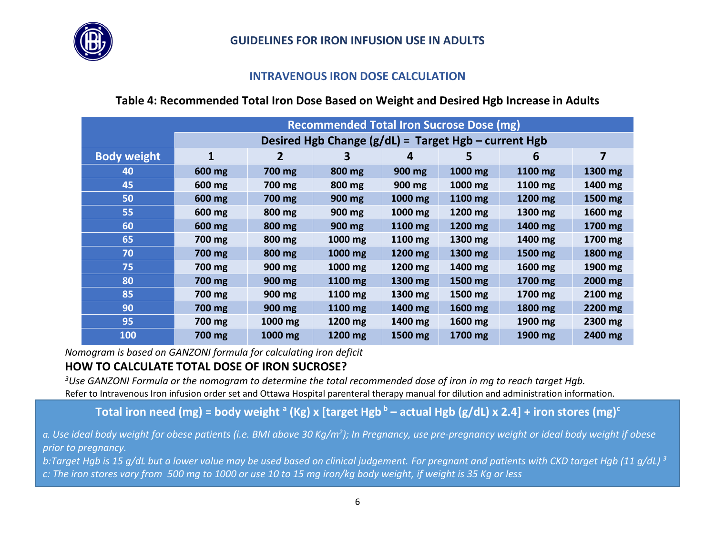

### **GUIDELINES FOR IRON INFUSION USE IN ADULTS**

#### **INTRAVENOUS IRON DOSE CALCULATION**

### **Table 4: Recommended Total Iron Dose Based on Weight and Desired Hgb Increase in Adults**

|                    | <b>Recommended Total Iron Sucrose Dose (mg)</b>        |         |         |         |         |         |         |
|--------------------|--------------------------------------------------------|---------|---------|---------|---------|---------|---------|
|                    | Desired Hgb Change $(g/dL)$ = Target Hgb – current Hgb |         |         |         |         |         |         |
| <b>Body weight</b> |                                                        | 2       | З       | 4       | 5       | 6       | 7       |
| 40                 | 600 mg                                                 | 700 mg  | 800 mg  | 900 mg  | 1000 mg | 1100 mg | 1300 mg |
| 45                 | 600 mg                                                 | 700 mg  | 800 mg  | 900 mg  | 1000 mg | 1100 mg | 1400 mg |
| 50                 | 600 mg                                                 | 700 mg  | 900 mg  | 1000 mg | 1100 mg | 1200 mg | 1500 mg |
| 55                 | 600 mg                                                 | 800 mg  | 900 mg  | 1000 mg | 1200 mg | 1300 mg | 1600 mg |
| 60                 | 600 mg                                                 | 800 mg  | 900 mg  | 1100 mg | 1200 mg | 1400 mg | 1700 mg |
| 65                 | 700 mg                                                 | 800 mg  | 1000 mg | 1100 mg | 1300 mg | 1400 mg | 1700 mg |
| 70                 | 700 mg                                                 | 800 mg  | 1000 mg | 1200 mg | 1300 mg | 1500 mg | 1800 mg |
| 75                 | 700 mg                                                 | 900 mg  | 1000 mg | 1200 mg | 1400 mg | 1600 mg | 1900 mg |
| 80                 | 700 mg                                                 | 900 mg  | 1100 mg | 1300 mg | 1500 mg | 1700 mg | 2000 mg |
| 85                 | 700 mg                                                 | 900 mg  | 1100 mg | 1300 mg | 1500 mg | 1700 mg | 2100 mg |
| 90                 | 700 mg                                                 | 900 mg  | 1100 mg | 1400 mg | 1600 mg | 1800 mg | 2200 mg |
| 95                 | 700 mg                                                 | 1000 mg | 1200 mg | 1400 mg | 1600 mg | 1900 mg | 2300 mg |
| 100                | 700 mg                                                 | 1000 mg | 1200 mg | 1500 mg | 1700 mg | 1900 mg | 2400 mg |

*Nomogram is based on GANZONI formula for calculating iron deficit*

# **HOW TO CALCULATE TOTAL DOSE OF IRON SUCROSE?**

*<sup>3</sup>Use GANZONI Formula or the nomogram to determine the total recommended dose of iron in mg to reach target Hgb.* Refer to Intravenous Iron infusion order set and Ottawa Hospital parenteral therapy manual for dilution and administration information.

**Total iron need (mg) = body weight <sup>a</sup> (Kg) x [target Hgb <sup>b</sup> – actual Hgb (g/dL) x 2.4] + iron stores (mg)<sup>c</sup>**

Figure 1. Algorithm Outlining Grading and Management Of Acute Hypersensitivity Reactions To Interventions To Intervention<br>To preanancy *a. Use ideal body weight for obese patients (i.e. BMI above 30 Kg/m<sup>2</sup> ); In Pregnancy, use pre-pregnancy weight or ideal body weight if obese prior to pregnancy.*

**Iron Infusions.** *b:Target Hgb is 15 g/dL but a lower value may be used based on clinical judgement. For pregnant and patients with CKD target Hgb (11 g/dL) <sup>3</sup> c: The iron stores vary from 500 mg to 1000 or use 10 to 15 mg iron/kg body weight, if weight is 35 Kg or less*